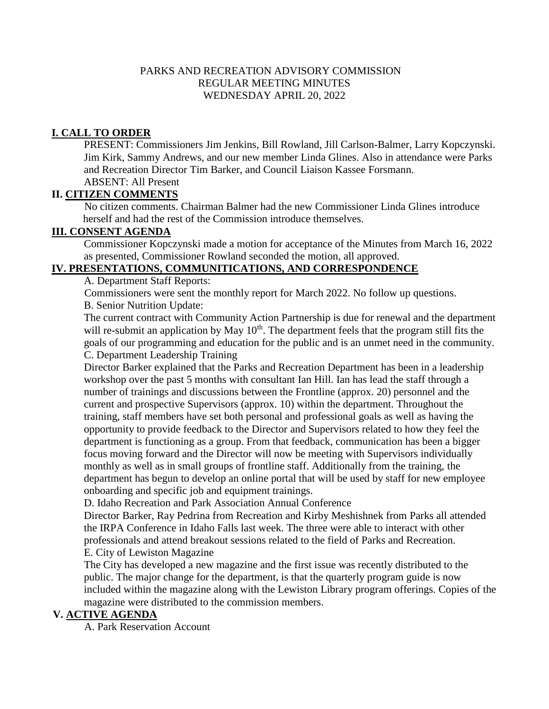#### PARKS AND RECREATION ADVISORY COMMISSION REGULAR MEETING MINUTES WEDNESDAY APRIL 20, 2022

## **I. CALL TO ORDER**

PRESENT: Commissioners Jim Jenkins, Bill Rowland, Jill Carlson-Balmer, Larry Kopczynski. Jim Kirk, Sammy Andrews, and our new member Linda Glines. Also in attendance were Parks and Recreation Director Tim Barker, and Council Liaison Kassee Forsmann. ABSENT: All Present

## **II. CITIZEN COMMENTS**

 No citizen comments. Chairman Balmer had the new Commissioner Linda Glines introduce herself and had the rest of the Commission introduce themselves.

# **III. CONSENT AGENDA**

Commissioner Kopczynski made a motion for acceptance of the Minutes from March 16, 2022 as presented, Commissioner Rowland seconded the motion, all approved.

## **IV. PRESENTATIONS, COMMUNITICATIONS, AND CORRESPONDENCE**

A. Department Staff Reports:

Commissioners were sent the monthly report for March 2022. No follow up questions. B. Senior Nutrition Update:

The current contract with Community Action Partnership is due for renewal and the department will re-submit an application by May  $10<sup>th</sup>$ . The department feels that the program still fits the goals of our programming and education for the public and is an unmet need in the community. C. Department Leadership Training

Director Barker explained that the Parks and Recreation Department has been in a leadership workshop over the past 5 months with consultant Ian Hill. Ian has lead the staff through a number of trainings and discussions between the Frontline (approx. 20) personnel and the current and prospective Supervisors (approx. 10) within the department. Throughout the training, staff members have set both personal and professional goals as well as having the opportunity to provide feedback to the Director and Supervisors related to how they feel the department is functioning as a group. From that feedback, communication has been a bigger focus moving forward and the Director will now be meeting with Supervisors individually monthly as well as in small groups of frontline staff. Additionally from the training, the department has begun to develop an online portal that will be used by staff for new employee onboarding and specific job and equipment trainings.

D. Idaho Recreation and Park Association Annual Conference

Director Barker, Ray Pedrina from Recreation and Kirby Meshishnek from Parks all attended the IRPA Conference in Idaho Falls last week. The three were able to interact with other professionals and attend breakout sessions related to the field of Parks and Recreation. E. City of Lewiston Magazine

The City has developed a new magazine and the first issue was recently distributed to the public. The major change for the department, is that the quarterly program guide is now included within the magazine along with the Lewiston Library program offerings. Copies of the magazine were distributed to the commission members.

## **V. ACTIVE AGENDA**

A. Park Reservation Account